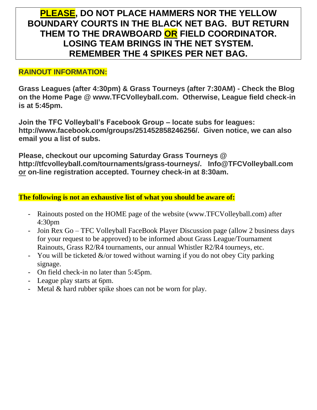### **PLEASE, DO NOT PLACE HAMMERS NOR THE YELLOW BOUNDARY COURTS IN THE BLACK NET BAG. BUT RETURN THEM TO THE DRAWBOARD OR FIELD COORDINATOR. LOSING TEAM BRINGS IN THE NET SYSTEM. REMEMBER THE 4 SPIKES PER NET BAG.**

#### **RAINOUT INFORMATION:**

**Grass Leagues (after 4:30pm) & Grass Tourneys (after 7:30AM) - Check the Blog on the Home Page @ www.TFCVolleyball.com. Otherwise, League field check-in is at 5:45pm.**

**Join the TFC Volleyball's Facebook Group – locate subs for leagues: http://www.facebook.com/groups/251452858246256/. Given notice, we can also email you a list of subs.**

**Please, checkout our upcoming Saturday Grass Tourneys @ http://tfcvolleyball.com/tournaments/grass-tourneys/. Info@TFCVolleyball.com or on-line registration accepted. Tourney check-in at 8:30am.**

**The following is not an exhaustive list of what you should be aware of:**

- Rainouts posted on the HOME page of the website (www.TFCVolleyball.com) after 4:30pm
- Join Rex Go TFC Volleyball FaceBook Player Discussion page (allow 2 business days for your request to be approved) to be informed about Grass League/Tournament Rainouts, Grass R2/R4 tournaments, our annual Whistler R2/R4 tourneys, etc.
- You will be ticketed  $\&$ /or towed without warning if you do not obey City parking signage.
- On field check-in no later than 5:45pm.
- League play starts at 6pm.
- Metal & hard rubber spike shoes can not be worn for play.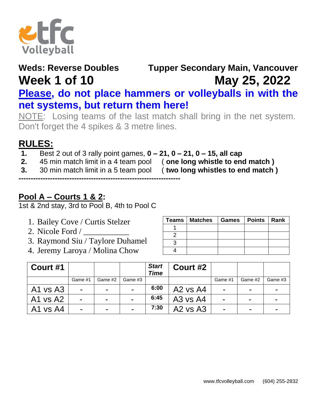

# **Weds: Reverse Doubles Tupper Secondary Main, Vancouver Week 1 of 10 May 25, 2022 Please, do not place hammers or volleyballs in with the**

### **net systems, but return them here!**

NOTE: Losing teams of the last match shall bring in the net system. Don't forget the 4 spikes & 3 metre lines.

## **RULES:**

- **1.** Best 2 out of 3 rally point games, **0 – 21, 0 – 21, 0 – 15, all cap**
- **2.** 45 min match limit in a 4 team pool ( **one long whistle to end match )**
- **3.** 30 min match limit in a 5 team pool ( **two long whistles to end match ) -------------------------------------------------------------------**

#### **Pool A – Courts 1 & 2:**

1st & 2nd stay, 3rd to Pool B, 4th to Pool C

- 1. Bailey Cove / Curtis Stelzer
- 2. Nicole Ford / \_\_\_\_\_\_\_\_\_\_\_
- 3. Raymond Siu / Taylore Duhamel
- 4. Jeremy Laroya / Molina Chow

| Teams   Matches   Games   Points   Rank |  |  |
|-----------------------------------------|--|--|
|                                         |  |  |
|                                         |  |  |
|                                         |  |  |
|                                         |  |  |

| Court #1 |                |                |         | <b>Start</b><br>Time | Court #2     |                |                |         |
|----------|----------------|----------------|---------|----------------------|--------------|----------------|----------------|---------|
|          | Game #1        | Game #2        | Game #3 |                      |              | Game #1        | Game #2        | Game #3 |
| A1 vs A3 | $\blacksquare$ | $\blacksquare$ |         | 6:00                 | $A2$ vs $A4$ |                | $\blacksquare$ |         |
| A1 vs A2 | $\blacksquare$ | $\blacksquare$ |         | 6:45                 | $A3$ vs $A4$ | $\blacksquare$ | $\blacksquare$ |         |
| A1 vs A4 | $\blacksquare$ |                |         | 7:30                 | $A2$ vs $A3$ |                | -              |         |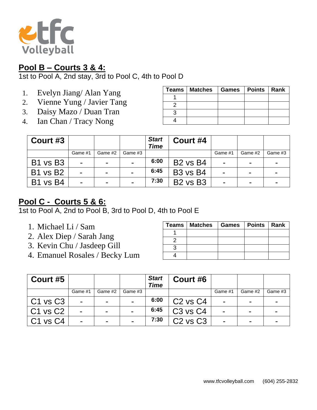

#### **Pool B – Courts 3 & 4:**

1st to Pool A, 2nd stay, 3rd to Pool C, 4th to Pool D

- 1. Evelyn Jiang/ Alan Yang
- 2. Vienne Yung / Javier Tang
- 3. Daisy Mazo / Duan Tran
- 4. Ian Chan / Tracy Nong

| Teams   Matches   Games   Points   Rank |  |  |
|-----------------------------------------|--|--|
|                                         |  |  |
|                                         |  |  |
|                                         |  |  |
|                                         |  |  |

| Court #3        |                          |                |                | <b>Start</b><br><b>Time</b> | Court #4                         |                |                |         |
|-----------------|--------------------------|----------------|----------------|-----------------------------|----------------------------------|----------------|----------------|---------|
|                 | Game #1                  | Game #2        | Game #3        |                             |                                  | Game #1        | Game #2        | Game #3 |
| <b>B1 vs B3</b> | $\blacksquare$           | $\blacksquare$ | $\blacksquare$ | 6:00                        | <b>B2 vs B4</b>                  | $\blacksquare$ | $\blacksquare$ | -       |
| <b>B1 vs B2</b> | $\blacksquare$           | $\blacksquare$ | $\blacksquare$ | 6:45                        | B <sub>3</sub> vs B <sub>4</sub> | $\blacksquare$ | $\blacksquare$ | -       |
| <b>B1 vs B4</b> | $\overline{\phantom{0}}$ | -              | $\blacksquare$ | 7:30                        | <b>B2 vs B3</b>                  | $\blacksquare$ | $\blacksquare$ |         |

#### **Pool C - Courts 5 & 6:**

1st to Pool A, 2nd to Pool B, 3rd to Pool D, 4th to Pool E

- 1. Michael Li / Sam
- 2. Alex Diep / Sarah Jang
- 3. Kevin Chu / Jasdeep Gill
- 4. Emanuel Rosales / Becky Lum

| Teams   Matches   Games   Points   Rank |  |  |
|-----------------------------------------|--|--|
|                                         |  |  |
|                                         |  |  |
|                                         |  |  |
|                                         |  |  |

| Court #5         |                |                |         | <b>Start</b><br>Time | Court #6                         |         |                |         |
|------------------|----------------|----------------|---------|----------------------|----------------------------------|---------|----------------|---------|
|                  | Game #1        | Game #2        | Game #3 |                      |                                  | Game #1 | Game #2        | Game #3 |
| $\vert$ C1 vs C3 | $\blacksquare$ | $\blacksquare$ |         | 6:00                 | $C2$ vs $C4$                     | -       | $\blacksquare$ |         |
| $C1$ vs $C2$     | $\blacksquare$ | $\blacksquare$ |         | 6:45                 | C <sub>3</sub> vs C <sub>4</sub> |         | $\blacksquare$ |         |
| $C1$ vs $C4$     | $\blacksquare$ | $\blacksquare$ |         | 7:30                 | $C2$ vs $C3$                     | -       | $\blacksquare$ |         |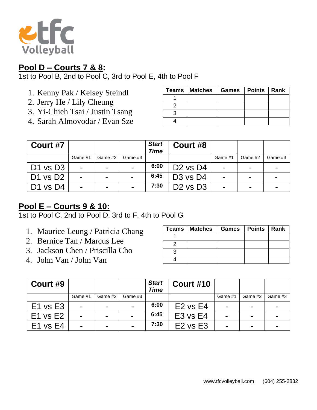

#### **Pool D – Courts 7 & 8:**

1st to Pool B, 2nd to Pool C, 3rd to Pool E, 4th to Pool F

- 1. Kenny Pak / Kelsey Steindl
- 2. Jerry He / Lily Cheung
- 3. Yi-Chieh Tsai / Justin Tsang
- 4. Sarah Almovodar / Evan Sze

| Teams   Matches | Games   Points   Rank |  |
|-----------------|-----------------------|--|
|                 |                       |  |
|                 |                       |  |
|                 |                       |  |
|                 |                       |  |

| Court #7                         |                |                |                          | <b>Start</b><br><b>Time</b> | Court #8                         |                |                |         |
|----------------------------------|----------------|----------------|--------------------------|-----------------------------|----------------------------------|----------------|----------------|---------|
|                                  | Game #1        | Game #2        | Game #3                  |                             |                                  | Game #1        | Game #2        | Game #3 |
| $D1$ vs $D3$                     | $\blacksquare$ | $\blacksquare$ | $\overline{\phantom{0}}$ | 6:00                        | $D2$ vs $D4$                     | $\blacksquare$ | $\blacksquare$ |         |
| D1 vs $D2$                       | $\blacksquare$ | -              |                          | 6:45                        | D <sub>3</sub> vs D <sub>4</sub> | -              | $\blacksquare$ |         |
| D <sub>1</sub> vs D <sub>4</sub> | $\sim$         | -              | $\overline{\phantom{0}}$ | 7:30                        | $D2$ vs $D3$                     | $\blacksquare$ | -              |         |

#### **Pool E – Courts 9 & 10:**

1st to Pool C, 2nd to Pool D, 3rd to F, 4th to Pool G

- 1. Maurice Leung / Patricia Chang
- 2. Bernice Tan / Marcus Lee
- 3. Jackson Chen / Priscilla Cho
- 4. John Van / John Van

| Teams   Matches   Games   Points   Rank |  |  |
|-----------------------------------------|--|--|
|                                         |  |  |
|                                         |  |  |
|                                         |  |  |
|                                         |  |  |

| Court #9     |                |                |         | <b>Start</b><br>Time | <b>Court #10</b> |                |         |         |
|--------------|----------------|----------------|---------|----------------------|------------------|----------------|---------|---------|
|              | Game #1        | Game #2        | Game #3 |                      |                  | Game #1        | Game #2 | Game #3 |
| $E1$ vs $E3$ | $\blacksquare$ | $\blacksquare$ |         | 6:00                 | $E2$ vs $E4$     | $\blacksquare$ |         |         |
| $E1$ vs $E2$ | $\blacksquare$ | $\blacksquare$ |         | 6:45                 | $E3$ vs $E4$     | $\blacksquare$ |         |         |
| $E1$ vs $E4$ | $\blacksquare$ | $\blacksquare$ |         | 7:30                 | $E2$ vs $E3$     | $\blacksquare$ | -       |         |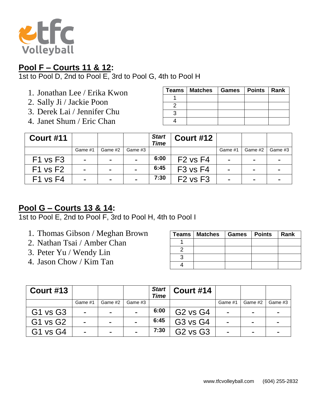

#### **Pool F – Courts 11 & 12:**

1st to Pool D, 2nd to Pool E, 3rd to Pool G, 4th to Pool H

- 1. Jonathan Lee / Erika Kwon
- 2. Sally Ji / Jackie Poon
- 3. Derek Lai / Jennifer Chu
- 4. Janet Shum / Eric Chan

| Teams   Matches   Games   Points   Rank |  |  |
|-----------------------------------------|--|--|
|                                         |  |  |
|                                         |  |  |
|                                         |  |  |
|                                         |  |  |

| <b>Court #11</b> |                |         |                | <b>Start</b><br><b>Time</b> | <b>Court #12</b> |         |         |         |
|------------------|----------------|---------|----------------|-----------------------------|------------------|---------|---------|---------|
|                  | Game #1        | Game #2 | Game #3        |                             |                  | Game #1 | Game #2 | Game #3 |
| $F1$ vs $F3$     | -              | -       | -              | 6:00                        | $F2$ vs $F4$     | -       |         |         |
| $F1$ vs $F2$     | $\blacksquare$ |         | -              | 6:45                        | $F3$ vs $F4$     | -       |         |         |
| $F1$ vs $F4$     | $\blacksquare$ | -       | $\blacksquare$ | 7:30                        | $F2$ vs $F3$     | -       |         |         |

#### **Pool G – Courts 13 & 14:**

1st to Pool E, 2nd to Pool F, 3rd to Pool H, 4th to Pool I

- 1. Thomas Gibson / Meghan Brown
- 2. Nathan Tsai / Amber Chan
- 3. Peter Yu / Wendy Lin
- 4. Jason Chow / Kim Tan

| Teams   Matches   Games   Points   Rank |  |  |
|-----------------------------------------|--|--|
|                                         |  |  |
|                                         |  |  |
|                                         |  |  |
|                                         |  |  |

| <b>Court #13</b> |                |                          |                | <b>Start</b><br><b>Time</b> | <b>Court #14</b>                 |                |                          |         |
|------------------|----------------|--------------------------|----------------|-----------------------------|----------------------------------|----------------|--------------------------|---------|
|                  | Game #1        | Game #2                  | Game #3        |                             |                                  | Game #1        | Game #2                  | Game #3 |
| G1 vs G3         | $\blacksquare$ | $\blacksquare$           | $\blacksquare$ | 6:00                        | <b>G2 vs G4</b>                  | $\blacksquare$ | $\blacksquare$           |         |
| <b>G1 vs G2</b>  | $\blacksquare$ | $\blacksquare$           | $\blacksquare$ | 6:45                        | G <sub>3</sub> vs G <sub>4</sub> | $\blacksquare$ | $\overline{\phantom{0}}$ |         |
| G1<br>vs G4      | $\blacksquare$ | $\overline{\phantom{a}}$ | $\blacksquare$ | 7:30                        | <b>G2 vs G3</b>                  | $\blacksquare$ | -                        |         |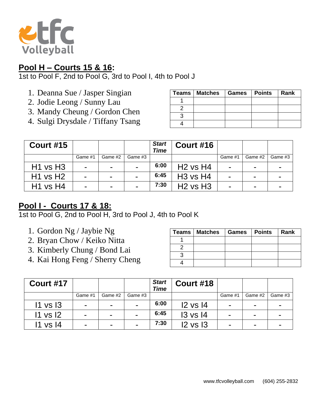

#### **Pool H – Courts 15 & 16:**

1st to Pool F, 2nd to Pool G, 3rd to Pool I, 4th to Pool J

- 1. Deanna Sue / Jasper Singian
- 2. Jodie Leong / Sunny Lau
- 3. Mandy Cheung / Gordon Chen
- 4. Sulgi Drysdale / Tiffany Tsang

| Teams   Matches   Games   Points   Rank |  |  |
|-----------------------------------------|--|--|
|                                         |  |  |
|                                         |  |  |
|                                         |  |  |
|                                         |  |  |

| <b>Court #15</b> |                |                |                          | <b>Start</b><br><b>Time</b> | <b>Court #16</b>                 |         |         |         |
|------------------|----------------|----------------|--------------------------|-----------------------------|----------------------------------|---------|---------|---------|
|                  | Game #1        | Game #2        | Game #3                  |                             |                                  | Game #1 | Game #2 | Game #3 |
| $H1$ vs $H3$     | $\blacksquare$ | $\blacksquare$ | $\overline{\phantom{0}}$ | 6:00                        | $H2$ vs $H4$                     | -       | -       |         |
| $H1$ vs $H2$     | $\blacksquare$ | $\blacksquare$ | $\blacksquare$           | 6:45                        | H <sub>3</sub> vs H <sub>4</sub> | -       |         |         |
| $H1$ vs $H4$     | $\blacksquare$ | $\blacksquare$ | $\blacksquare$           | 7:30                        | $H2$ vs $H3$                     | -       | -       |         |

#### **Pool I - Courts 17 & 18:**

1st to Pool G, 2nd to Pool H, 3rd to Pool J, 4th to Pool K

- 1. Gordon Ng / Jaybie Ng
- 2. Bryan Chow / Keiko Nitta
- 3. Kimberly Chung / Bond Lai
- 4. Kai Hong Feng / Sherry Cheng

| Teams   Matches   Games   Points |  | Rank |
|----------------------------------|--|------|
|                                  |  |      |
|                                  |  |      |
|                                  |  |      |
|                                  |  |      |

| Court #17    |         |                          |                          | <b>Start</b><br>Time | Court #18    |                |         |         |
|--------------|---------|--------------------------|--------------------------|----------------------|--------------|----------------|---------|---------|
|              | Game #1 | Game #2                  | Game #3                  |                      |              | Game #1        | Game #2 | Game #3 |
| $11$ vs $13$ |         | -                        | -                        | 6:00                 | $12$ vs $14$ |                | -       |         |
| 11 vs 12     | -       | -                        | -                        | 6:45                 | $13$ vs $14$ | $\blacksquare$ | -       |         |
| l1 vs<br>14  |         | $\overline{\phantom{a}}$ | $\overline{\phantom{a}}$ | 7:30                 | $12$ vs $13$ |                | -       | -       |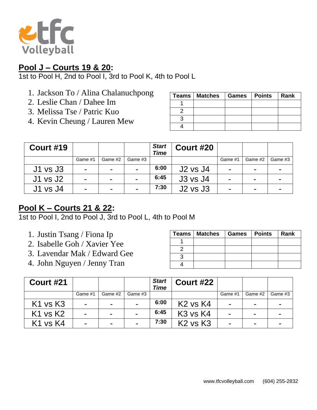

#### **Pool J – Courts 19 & 20:**

1st to Pool H, 2nd to Pool I, 3rd to Pool K, 4th to Pool L

- 1. Jackson To / Alina Chalanuchpong
- 2. Leslie Chan / Dahee Im
- 3. Melissa Tse / Patric Kuo
- 4. Kevin Cheung / Lauren Mew

| Teams   Matches   Games   Points   Rank |  |  |
|-----------------------------------------|--|--|
|                                         |  |  |
|                                         |  |  |
|                                         |  |  |
|                                         |  |  |

| <b>Court #19</b> |                |                          |                | <b>Start</b><br><b>Time</b> | <b>Court #20</b> |                |         |         |
|------------------|----------------|--------------------------|----------------|-----------------------------|------------------|----------------|---------|---------|
|                  | Game #1        | Game #2                  | Game #3        |                             |                  | Game #1        | Game #2 | Game #3 |
| $J1$ vs $J3$     | $\blacksquare$ | $\blacksquare$           | $\blacksquare$ | 6:00                        | <b>J2 vs J4</b>  | $\blacksquare$ |         | -       |
| $J1$ vs $J2$     | $\blacksquare$ | $\overline{\phantom{0}}$ | $\blacksquare$ | 6:45                        | <b>J3 vs J4</b>  | $\blacksquare$ |         | -       |
| J1 vs J4         | $\blacksquare$ | $\blacksquare$           | $\blacksquare$ | 7:30                        | J2 vs J3         | -              |         | -       |

#### **Pool K – Courts 21 & 22:**

1st to Pool I, 2nd to Pool J, 3rd to Pool L, 4th to Pool M

- 1. Justin Tsang / Fiona Ip
- 2. Isabelle Goh / Xavier Yee
- 3. Lavendar Mak / Edward Gee
- 4. John Nguyen / Jenny Tran

| Teams   Matches   Games   Points   Rank |  |  |
|-----------------------------------------|--|--|
|                                         |  |  |
|                                         |  |  |
|                                         |  |  |
|                                         |  |  |

| Court #21                        |                |                          |                | <b>Start</b><br>Time | <b>Court #22</b>                 |                |         |         |
|----------------------------------|----------------|--------------------------|----------------|----------------------|----------------------------------|----------------|---------|---------|
|                                  | Game #1        | Game #2                  | Game #3        |                      |                                  | Game #1        | Game #2 | Game #3 |
| $K1$ vs $K3$                     | $\blacksquare$ | $\blacksquare$           | $\blacksquare$ | 6:00                 | $K2$ vs $K4$                     | $\blacksquare$ | -       | -       |
| $K1$ vs $K2$                     | -              | -                        | -              | 6:45                 | K3 vs K4                         | -              |         |         |
| K <sub>1</sub> vs K <sub>4</sub> | $\blacksquare$ | $\overline{\phantom{a}}$ | $\blacksquare$ | 7:30                 | K <sub>2</sub> vs K <sub>3</sub> | -              | -       |         |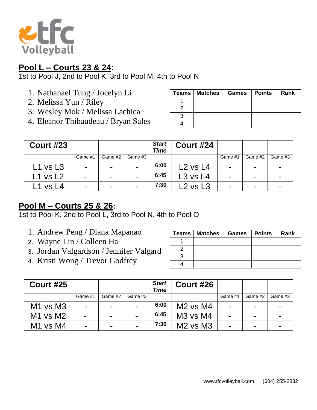

#### **Pool L – Courts 23 & 24:**

1st to Pool J, 2nd to Pool K, 3rd to Pool M, 4th to Pool N

- 1. Nathanael Tung / Jocelyn Li
- 2. Melissa Yun / Riley
- 3. Wesley Mok / Melissa Lachica
- 4. Eleanor Thibaudeau / Bryan Sales

| Teams   Matches   Games   Points |  | Rank |
|----------------------------------|--|------|
|                                  |  |      |
|                                  |  |      |
|                                  |  |      |
|                                  |  |      |

| <b>Court #23</b> |                |                |                | <b>Start</b><br><b>Time</b> | Court #24    |                |         |         |
|------------------|----------------|----------------|----------------|-----------------------------|--------------|----------------|---------|---------|
|                  | Game #1        | Game #2        | Game #3        |                             |              | Game #1        | Game #2 | Game #3 |
| $L1$ vs $L3$     | $\blacksquare$ | $\blacksquare$ | $\blacksquare$ | 6:00                        | L2 vs L4     | $\blacksquare$ | -       |         |
| $L1$ vs $L2$     | $\blacksquare$ | ۰              | $\blacksquare$ | 6:45                        | $L3$ vs $L4$ | -              | -       | -       |
| L1 vs L4         | $\blacksquare$ | $\blacksquare$ | $\blacksquare$ | 7:30                        | . റ<br>vsL3  | ۰              | -       |         |

#### **Pool M – Courts 25 & 26:**

1st to Pool K, 2nd to Pool L, 3rd to Pool N, 4th to Pool O

- 1. Andrew Peng / Diana Mapanao
- 2. Wayne Lin / Colleen Ha
- 3. Jordan Valgardson / Jennifer Valgard
- 4. Kristi Wong / Trevor Godfrey

| Teams   Matches   Games   Points   Rank |  |  |
|-----------------------------------------|--|--|
|                                         |  |  |
|                                         |  |  |
|                                         |  |  |
|                                         |  |  |

| <b>Court #25</b> |                |                |                | <b>Start</b><br>Time | <b>Court #26</b>                 |                |         |         |
|------------------|----------------|----------------|----------------|----------------------|----------------------------------|----------------|---------|---------|
|                  | Game #1        | Game #2        | Game #3        |                      |                                  | Game #1        | Game #2 | Game #3 |
| $M1$ vs $M3$     | $\blacksquare$ | $\blacksquare$ | $\blacksquare$ | 6:00                 | $M2$ vs $M4$                     | $\blacksquare$ | -       |         |
| $M1$ vs $M2$     | $\blacksquare$ |                |                | 6:45                 | M <sub>3</sub> vs M <sub>4</sub> | $\blacksquare$ | ۰       |         |
| $M1$ vs $M4$     | -              |                | -              | 7:30                 | $M2$ vs $M3$                     | $\sim$         | -       | -       |